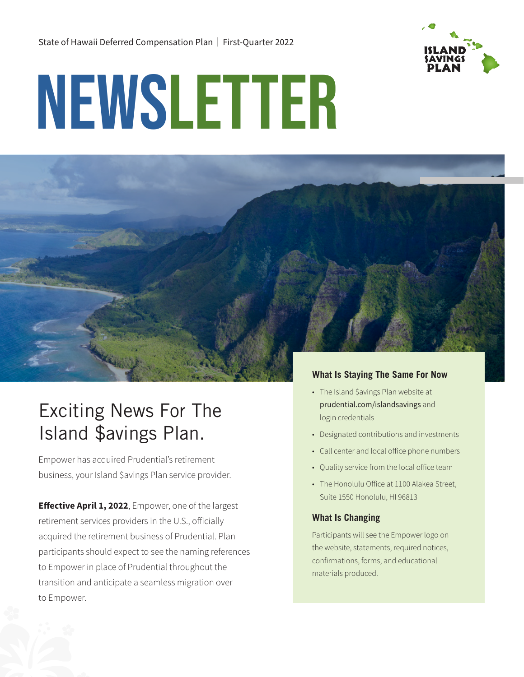

# NEWSLETTER



# Exciting News For The Island \$avings Plan.

Empower has acquired Prudential's retirement business, your Island \$avings Plan service provider.

**Effective April 1, 2022**, Empower, one of the largest retirement services providers in the U.S., officially acquired the retirement business of Prudential. Plan participants should expect to see the naming references to Empower in place of Prudential throughout the transition and anticipate a seamless migration over to Empower.

## **What Is Staying The Same For Now**

- The Island \$avings Plan website at [prudential.com/islandsavings](https://islandsavings.preparewithpru.com/) and login credentials
- Designated contributions and investments
- Call center and local office phone numbers
- Quality service from the local office team
- The Honolulu Office at 1100 Alakea Street, Suite 1550 Honolulu, HI 96813

#### **What Is Changing**

Participants will see the Empower logo on the website, statements, required notices, confirmations, forms, and educational materials produced.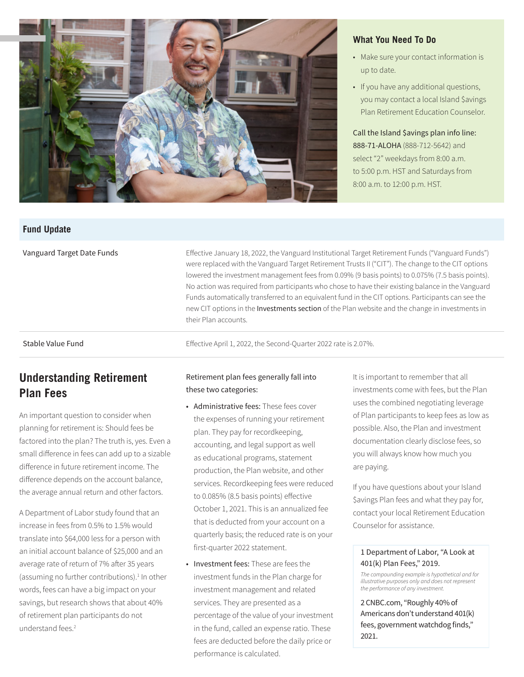

#### **What You Need To Do**

- Make sure your contact information is up to date.
- If you have any additional questions, you may contact a local Island \$avings Plan Retirement Education Counselor.

Call the Island \$avings plan info line: 888-71-ALOHA (888-712-5642) and select "2" weekdays from 8:00 a.m. to 5:00 p.m. HST and Saturdays from 8:00 a.m. to 12:00 p.m. HST.

#### **Fund Update**

Vanguard Target Date Funds **Effective January 18, 2022**, the Vanguard Institutional Target Retirement Funds ("Vanguard Funds") were replaced with the Vanguard Target Retirement Trusts II ("CIT"). The change to the CIT options lowered the investment management fees from 0.09% (9 basis points) to 0.075% (7.5 basis points). No action was required from participants who chose to have their existing balance in the Vanguard Funds automatically transferred to an equivalent fund in the CIT options. Participants can see the new CIT options in the [Investments section](https://islandsavings.preparewithpru.com/investments.html) of the Plan website and the change in investments in their Plan accounts.

Stable Value Fund **Example 2018** Effective April 1, 2022, the Second-Quarter 2022 rate is 2.07%.

# **Understanding Retirement Plan Fees**

An important question to consider when planning for retirement is: Should fees be factored into the plan? The truth is, yes. Even a small difference in fees can add up to a sizable difference in future retirement income. The difference depends on the account balance, the average annual return and other factors.

A Department of Labor study found that an increase in fees from 0.5% to 1.5% would translate into \$64,000 less for a person with an initial account balance of \$25,000 and an average rate of return of 7% after 35 years (assuming no further contributions).<sup>1</sup> In other words, fees can have a big impact on your savings, but research shows that about 40% of retirement plan participants do not understand fees.<sup>2</sup>

#### Retirement plan fees generally fall into these two categories:

- Administrative fees: These fees cover the expenses of running your retirement plan. They pay for recordkeeping, accounting, and legal support as well as educational programs, statement production, the Plan website, and other services. Recordkeeping fees were reduced to 0.085% (8.5 basis points) effective October 1, 2021. This is an annualized fee that is deducted from your account on a quarterly basis; the reduced rate is on your first-quarter 2022 statement.
- Investment fees: These are fees the investment funds in the Plan charge for investment management and related services. They are presented as a percentage of the value of your investment in the fund, called an expense ratio. These fees are deducted before the daily price or performance is calculated.

It is important to remember that all investments come with fees, but the Plan uses the combined negotiating leverage of Plan participants to keep fees as low as possible. Also, the Plan and investment documentation clearly disclose fees, so you will always know how much you are paying.

If you have questions about your Island \$avings Plan fees and what they pay for, contact your local Retirement Education Counselor for assistance.

#### [1 Department of Labor, "A Look at](http://dol.gov/sites/dolgov/files/ebsa/about-ebsa/our-activities/resource-center/publications/a-look-at-401k-plan-fees.pdf)  [401\(k\) Plan Fees,"](http://dol.gov/sites/dolgov/files/ebsa/about-ebsa/our-activities/resource-center/publications/a-look-at-401k-plan-fees.pdf) 2019.

*The compounding example is hypothetical and for illustrative purposes only and does not represent the performance of any investment.*

[2 CNBC.com, "Roughly 40% of](http://cnbc.com/amp/2021/08/26/40percent-of-americans-dont-understand-401k-fees-federal-watchdog-finds.html)  [Americans don't understand 401\(k\)](http://cnbc.com/amp/2021/08/26/40percent-of-americans-dont-understand-401k-fees-federal-watchdog-finds.html)  [fees, government watchdog finds,"](http://cnbc.com/amp/2021/08/26/40percent-of-americans-dont-understand-401k-fees-federal-watchdog-finds.html) 2021.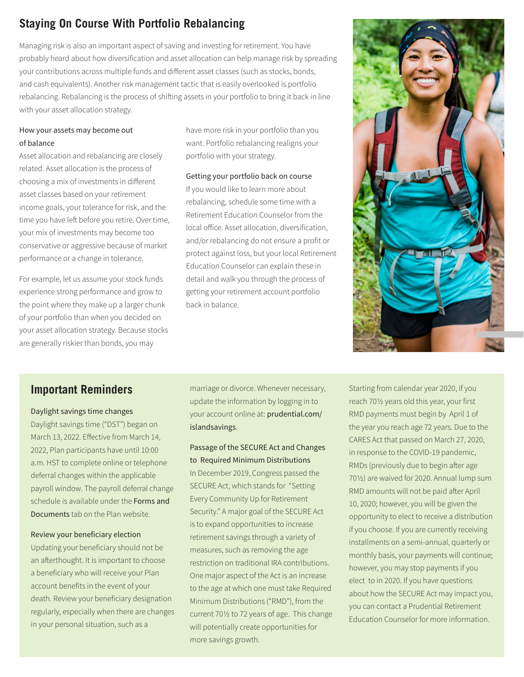# **Staying On Course With Portfolio Rebalancing**

Managing risk is also an important aspect of saving and investing for retirement. You have probably heard about how diversification and asset allocation can help manage risk by spreading your contributions across multiple funds and different asset classes (such as stocks, bonds, and cash equivalents). Another risk management tactic that is easily overlooked is portfolio rebalancing. Rebalancing is the process of shifting assets in your portfolio to bring it back in line with your asset allocation strategy.

#### How your assets may become out of balance

Asset allocation and rebalancing are closely related. Asset allocation is the process of choosing a mix of investments in different asset classes based on your retirement income goals, your tolerance for risk, and the time you have left before you retire. Over time, your mix of investments may become too conservative or aggressive because of market performance or a change in tolerance.

For example, let us assume your stock funds experience strong performance and grow to the point where they make up a larger chunk of your portfolio than when you decided on your asset allocation strategy. Because stocks are generally riskier than bonds, you may

have more risk in your portfolio than you want. Portfolio rebalancing realigns your portfolio with your strategy.

Getting your portfolio back on course If you would like to learn more about rebalancing, schedule some time with a Retirement Education Counselor from the local office. Asset allocation, diversification, and/or rebalancing do not ensure a profit or protect against loss, but your local Retirement Education Counselor can explain these in detail and walk you through the process of getting your retirement account portfolio back in balance.



# **Important Reminders**

#### Daylight savings time changes

Daylight savings time ("DST") began on March 13, 2022. Effective from March 14, 2022, Plan participants have until 10:00 a.m. HST to complete online or telephone deferral changes within the applicable payroll window. The payroll deferral change schedule is available under the [Forms and](https://islandsavings.preparewithpru.com/forms-and-documents.html)  [Documents](https://islandsavings.preparewithpru.com/forms-and-documents.html) tab on the Plan website.

#### Review your beneficiary election

Updating your beneficiary should not be an afterthought. It is important to choose a beneficiary who will receive your Plan account benefits in the event of your death. Review your beneficiary designation regularly, especially when there are changes in your personal situation, such as a

marriage or divorce. Whenever necessary, update the information by logging in to your account online at: [prudential.com/](https://islandsavings.preparewithpru.com/) [islandsavings](https://islandsavings.preparewithpru.com/).

#### Passage of the SECURE Act and Changes to Required Minimum Distributions

In December 2019, Congress passed the SECURE Act, which stands for "Setting Every Community Up for Retirement Security." A major goal of the SECURE Act is to expand opportunities to increase retirement savings through a variety of measures, such as removing the age restriction on traditional IRA contributions. One major aspect of the Act is an increase to the age at which one must take Required Minimum Distributions ("RMD"), from the current 701/2 to 72 years of age. This change will potentially create opportunities for more savings growth.

Starting from calendar year 2020, if you reach 701/2 years old this year, your first RMD payments must begin by April 1 of the year you reach age 72 years. Due to the CARES Act that passed on March 27, 2020, in response to the COVID-19 pandemic, RMDs (previously due to begin after age 701/2) are waived for 2020. Annual lump sum RMD amounts will not be paid after April 10, 2020; however, you will be given the opportunity to elect to receive a distribution if you choose. If you are currently receiving installments on a semi-annual, quarterly or monthly basis, your payments will continue; however, you may stop payments if you elect to in 2020. If you have questions about how the SECURE Act may impact you, you can contact a Prudential Retirement Education Counselor for more information.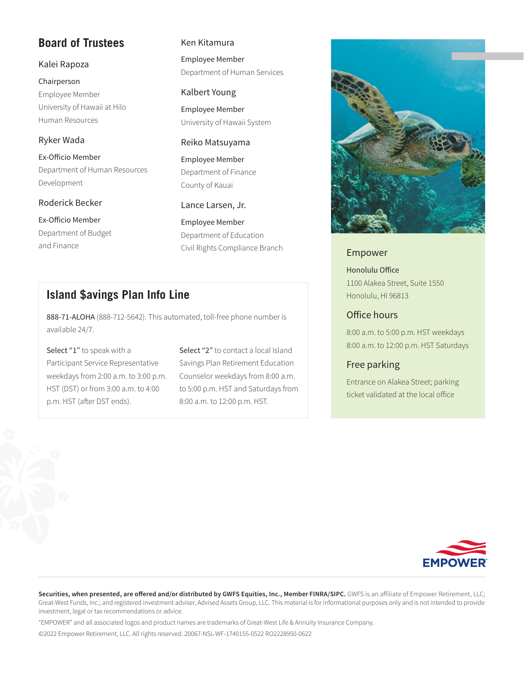# **Board of Trustees**

#### Kalei Rapoza

Chairperson Employee Member University of Hawaii at Hilo Human Resources

#### Ryker Wada

Ex-Officio Member Department of Human Resources Development

#### Roderick Becker

Ex-Officio Member Department of Budget and Finance

#### Ken Kitamura

Employee Member Department of Human Services

#### Kalbert Young

Employee Member University of Hawaii System

#### Reiko Matsuyama

Employee Member Department of Finance County of Kauai

#### Lance Larsen, Jr.

Employee Member Department of Education Civil Rights Compliance Branch Empower

# **Island \$avings Plan Info Line**

888-71-ALOHA (888-712-5642). This automated, toll-free phone number is available 24/7.

Select "1" to speak with a Participant Service Representative weekdays from 2:00 a.m. to 3:00 p.m. HST (DST) or from 3:00 a.m. to 4:00 p.m. HST (after DST ends).

Select "2" to contact a local Island \$avings Plan Retirement Education Counselor weekdays from 8:00 a.m. to 5:00 p.m. HST and Saturdays from 8:00 a.m. to 12:00 p.m. HST.



Honolulu Office 1100 Alakea Street, Suite 1550 Honolulu, HI 96813

### Office hours

8:00 a.m. to 5:00 p.m. HST weekdays 8:00 a.m. to 12:00 p.m. HST Saturdays

#### Free parking

Entrance on Alakea Street; parking ticket validated at the local office



Securities, when presented, are offered and/or distributed by GWFS Equities, Inc., Member FINRA/SIPC. GWFS is an affiliate of Empower Retirement, LLC; Great-West Funds, Inc.; and registered investment adviser, Advised Assets Group, LLC. This material is for informational purposes only and is not intended to provide investment, legal or tax recommendations or advice.

"EMPOWER" and all associated logos and product names are trademarks of Great-West Life & Annuity Insurance Company.

©2022 Empower Retirement, LLC. All rights reserved. 20067-NSL-WF-1740155-0522 RO2228950-0622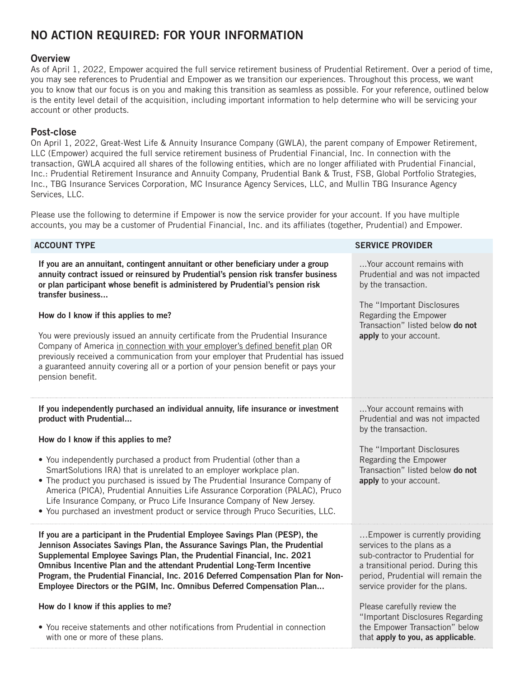# NO ACTION REQUIRED: FOR YOUR INFORMATION

#### **Overview**

As of April 1, 2022, Empower acquired the full service retirement business of Prudential Retirement. Over a period of time, you may see references to Prudential and Empower as we transition our experiences. Throughout this process, we want you to know that our focus is on you and making this transition as seamless as possible. For your reference, outlined below is the entity level detail of the acquisition, including important information to help determine who will be servicing your account or other products.

#### Post-close

On April 1, 2022, Great-West Life & Annuity Insurance Company (GWLA), the parent company of Empower Retirement, LLC (Empower) acquired the full service retirement business of Prudential Financial, Inc. In connection with the transaction, GWLA acquired all shares of the following entities, which are no longer affiliated with Prudential Financial, Inc.: Prudential Retirement Insurance and Annuity Company, Prudential Bank & Trust, FSB, Global Portfolio Strategies, Inc., TBG Insurance Services Corporation, MC Insurance Agency Services, LLC, and Mullin TBG Insurance Agency Services, LLC.

Please use the following to determine if Empower is now the service provider for your account. If you have multiple accounts, you may be a customer of Prudential Financial, Inc. and its affiliates (together, Prudential) and Empower.

| <b>ACCOUNT TYPE</b>                                                                                                                                                                                                                                                                                                                                                                                                                                                                                                                                                                                                                                                                        | <b>SERVICE PROVIDER</b>                                                                                                                                                                                         |
|--------------------------------------------------------------------------------------------------------------------------------------------------------------------------------------------------------------------------------------------------------------------------------------------------------------------------------------------------------------------------------------------------------------------------------------------------------------------------------------------------------------------------------------------------------------------------------------------------------------------------------------------------------------------------------------------|-----------------------------------------------------------------------------------------------------------------------------------------------------------------------------------------------------------------|
| If you are an annuitant, contingent annuitant or other beneficiary under a group<br>annuity contract issued or reinsured by Prudential's pension risk transfer business<br>or plan participant whose benefit is administered by Prudential's pension risk<br>transfer business<br>How do I know if this applies to me?<br>You were previously issued an annuity certificate from the Prudential Insurance<br>Company of America in connection with your employer's defined benefit plan OR<br>previously received a communication from your employer that Prudential has issued<br>a guaranteed annuity covering all or a portion of your pension benefit or pays your<br>pension benefit. | Your account remains with<br>Prudential and was not impacted<br>by the transaction.<br>The "Important Disclosures<br>Regarding the Empower<br>Transaction" listed below do not<br>apply to your account.        |
| If you independently purchased an individual annuity, life insurance or investment<br>product with Prudential<br>How do I know if this applies to me?<br>• You independently purchased a product from Prudential (other than a<br>SmartSolutions IRA) that is unrelated to an employer workplace plan.<br>• The product you purchased is issued by The Prudential Insurance Company of<br>America (PICA), Prudential Annuities Life Assurance Corporation (PALAC), Pruco<br>Life Insurance Company, or Pruco Life Insurance Company of New Jersey.<br>. You purchased an investment product or service through Pruco Securities, LLC.                                                      | Your account remains with<br>Prudential and was not impacted<br>by the transaction.<br>The "Important Disclosures<br>Regarding the Empower<br>Transaction" listed below do not<br>apply to your account.        |
| If you are a participant in the Prudential Employee Savings Plan (PESP), the<br>Jennison Associates Savings Plan, the Assurance Savings Plan, the Prudential<br>Supplemental Employee Savings Plan, the Prudential Financial, Inc. 2021<br>Omnibus Incentive Plan and the attendant Prudential Long-Term Incentive<br>Program, the Prudential Financial, Inc. 2016 Deferred Compensation Plan for Non-<br>Employee Directors or the PGIM, Inc. Omnibus Deferred Compensation Plan                                                                                                                                                                                                          | Empower is currently providing<br>services to the plans as a<br>sub-contractor to Prudential for<br>a transitional period. During this<br>period, Prudential will remain the<br>service provider for the plans. |
| How do I know if this applies to me?<br>• You receive statements and other notifications from Prudential in connection<br>with one or more of these plans.                                                                                                                                                                                                                                                                                                                                                                                                                                                                                                                                 | Please carefully review the<br>"Important Disclosures Regarding<br>the Empower Transaction" below<br>that apply to you, as applicable.                                                                          |